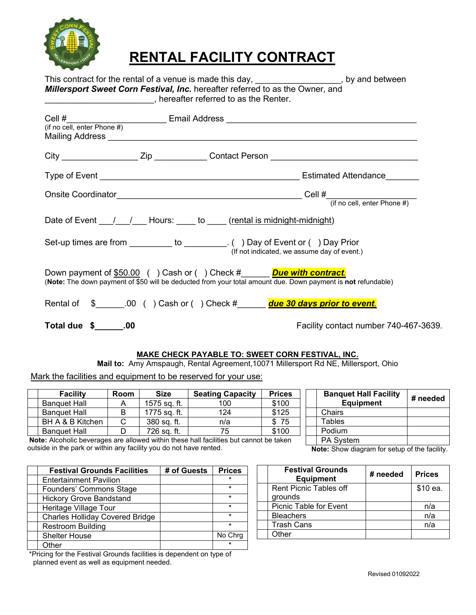

## **RENTAL FACILITY CONTRACT**

| This contract for the rental of a venue is made this day,                     | , by and between |
|-------------------------------------------------------------------------------|------------------|
| Millersport Sweet Corn Festival, Inc. hereafter referred to as the Owner, and |                  |
| hereafter referred to as the Renter.                                          |                  |

| (if no cell, enter Phone #) | Cell #________________________________Email Address ____________________________                                                                                                 |  |
|-----------------------------|----------------------------------------------------------------------------------------------------------------------------------------------------------------------------------|--|
|                             |                                                                                                                                                                                  |  |
|                             |                                                                                                                                                                                  |  |
|                             |                                                                                                                                                                                  |  |
|                             | Date of Event 1.1 / 1.1 Hours: Legacy to Legisland is midnight-midnight)                                                                                                         |  |
|                             | Set-up times are from __________ to _________. () Day of Event or () Day Prior<br>(If not indicated, we assume day of event.)                                                    |  |
|                             | Down payment of \$50.00 () Cash or () Check # Due with contract.<br>(Note: The down payment of \$50 will be deducted from your total amount due. Down payment is not refundable) |  |
|                             | Rental of \$ ______00 () Cash or () Check # due 30 days prior to event.                                                                                                          |  |
| Total due $\frac{1}{2}$ .00 | Facility contact number 740-467-3639.                                                                                                                                            |  |

## **MAKE CHECK PAYABLE TO: SWEET CORN FESTIVAL, INC.**

**Mail to:** Amy Amspaugh, Rental Agreement,10071 Millersport Rd NE, Millersport, Ohio

Mark the facilities and equipment to be reserved for your use:

| Room             | <b>Size</b>  | <b>Seating Capacity</b> | <b>Prices</b>     |
|------------------|--------------|-------------------------|-------------------|
|                  | 1575 sq. ft. | 100                     | \$100             |
| B                | 1775 sq. ft. | 124                     | \$125             |
| BH A & B Kitchen | 380 sq. ft.  | n/a                     | -75               |
|                  | 726 sa. ft.  | 75                      | \$100             |
|                  | $\cdot$ .    |                         | $\cdots$<br><br>. |

**Note:** Alcoholic beverages are allowed within these hall facilities but cannot be taken outside in the park or within any facility you do not have rented.

| <b>Festival Grounds Facilities</b>     | # of Guests | <b>Prices</b> |
|----------------------------------------|-------------|---------------|
| <b>Entertainment Pavilion</b>          |             |               |
| <b>Founders' Commons Stage</b>         |             | $\star$       |
| <b>Hickory Grove Bandstand</b>         |             | $\star$       |
| Heritage Village Tour                  |             | $\star$       |
| <b>Charles Holliday Covered Bridge</b> |             | $\star$       |
| <b>Restroom Building</b>               |             | $\star$       |
| <b>Shelter House</b>                   |             | No Chrq       |
| Other                                  |             |               |

\*Pricing for the Festival Grounds facilities is dependent on type of planned event as well as equipment needed.

| <b>Banquet Hall Facility</b><br><b>Equipment</b> | # needed |
|--------------------------------------------------|----------|
| Chairs                                           |          |
| <b>Tables</b>                                    |          |
| Podium                                           |          |
| PA System                                        |          |

**Note:** Show diagram for setup of the facility.

| <b>Festival Grounds</b><br><b>Equipment</b> | # needed | <b>Prices</b> |
|---------------------------------------------|----------|---------------|
| <b>Rent Picnic Tables off</b>               |          | \$10 ea.      |
| grounds                                     |          |               |
| Picnic Table for Event                      |          | n/a           |
| <b>Bleachers</b>                            |          | n/a           |
| <b>Trash Cans</b>                           |          | n/a           |
| Other                                       |          |               |